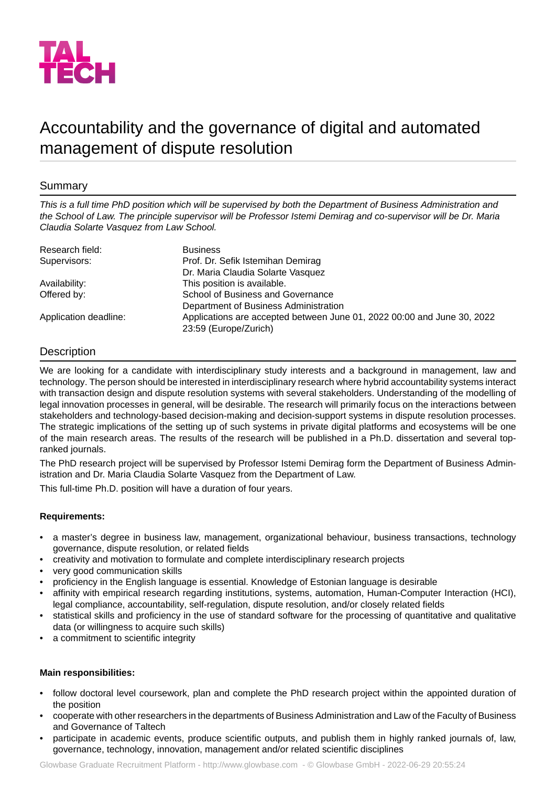

# Accountability and the governance of digital and automated management of dispute resolution

# Summary

*This is a full time PhD position which will be supervised by both the Department of Business Administration and* the School of Law. The principle supervisor will be Professor Istemi Demirag and co-supervisor will be Dr. Maria *Claudia Solarte Vasquez from Law School.*

| Research field:       | <b>Business</b>                                                         |
|-----------------------|-------------------------------------------------------------------------|
| Supervisors:          | Prof. Dr. Sefik Istemihan Demirag                                       |
|                       | Dr. Maria Claudia Solarte Vasquez                                       |
| Availability:         | This position is available.                                             |
| Offered by:           | School of Business and Governance                                       |
|                       | Department of Business Administration                                   |
| Application deadline: | Applications are accepted between June 01, 2022 00:00 and June 30, 2022 |
|                       | 23:59 (Europe/Zurich)                                                   |

# Description

We are looking for a candidate with interdisciplinary study interests and a background in management, law and technology. The person should be interested in interdisciplinary research where hybrid accountability systems interact with transaction design and dispute resolution systems with several stakeholders. Understanding of the modelling of legal innovation processes in general, will be desirable. The research will primarily focus on the interactions between stakeholders and technology-based decision-making and decision-support systems in dispute resolution processes. The strategic implications of the setting up of such systems in private digital platforms and ecosystems will be one of the main research areas. The results of the research will be published in a Ph.D. dissertation and several topranked journals.

The PhD research project will be supervised by Professor Istemi Demirag form the Department of Business Administration and Dr. Maria Claudia Solarte Vasquez from the Department of Law.

This full-time Ph.D. position will have a duration of four years.

# **Requirements:**

- a master's degree in business law, management, organizational behaviour, business transactions, technology governance, dispute resolution, or related fields
- creativity and motivation to formulate and complete interdisciplinary research projects
- very good communication skills
- proficiency in the English language is essential. Knowledge of Estonian language is desirable
- affinity with empirical research regarding institutions, systems, automation, Human-Computer Interaction (HCI), legal compliance, accountability, self-regulation, dispute resolution, and/or closely related fields
- statistical skills and proficiency in the use of standard software for the processing of quantitative and qualitative data (or willingness to acquire such skills)
- a commitment to scientific integrity

#### **Main responsibilities:**

- follow doctoral level coursework, plan and complete the PhD research project within the appointed duration of the position
- cooperate with other researchers in the departments of Business Administration and Law of the Faculty of Business and Governance of Taltech
- participate in academic events, produce scientific outputs, and publish them in highly ranked journals of, law, governance, technology, innovation, management and/or related scientific disciplines